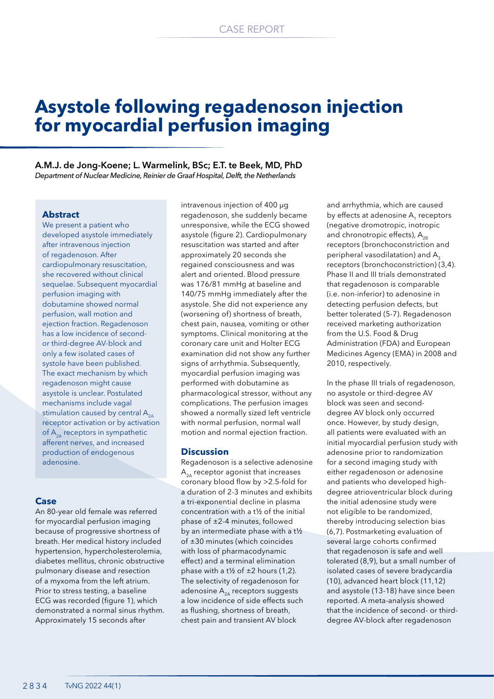# **Asystole following regadenoson injection for myocardial perfusion imaging**

**A.M.J. de Jong-Koene; L. Warmelink, BSc; E.T. te Beek, MD, PhD** *Department of Nuclear Medicine, Reinier de Graaf Hospital, Delft, the Netherlands*

## **Abstract**

We present a patient who developed asystole immediately after intravenous injection of regadenoson. After cardiopulmonary resuscitation, she recovered without clinical sequelae. Subsequent myocardial perfusion imaging with dobutamine showed normal perfusion, wall motion and ejection fraction. Regadenoson has a low incidence of secondor third-degree AV-block and only a few isolated cases of systole have been published. The exact mechanism by which regadenoson might cause asystole is unclear. Postulated mechanisms include vagal stimulation caused by central  $A_{2A}$ receptor activation or by activation of  $A_{2A}$  receptors in sympathetic afferent nerves, and increased production of endogenous adenosine.

#### **Case**

An 80-year old female was referred for myocardial perfusion imaging because of progressive shortness of breath. Her medical history included hypertension, hypercholesterolemia, diabetes mellitus, chronic obstructive pulmonary disease and resection of a myxoma from the left atrium. Prior to stress testing, a baseline ECG was recorded (figure 1), which demonstrated a normal sinus rhythm. Approximately 15 seconds after

intravenous injection of 400 μg regadenoson, she suddenly became unresponsive, while the ECG showed asystole (figure 2). Cardiopulmonary resuscitation was started and after approximately 20 seconds she regained consciousness and was alert and oriented. Blood pressure was 176/81 mmHg at baseline and 140/75 mmHg immediately after the asystole. She did not experience any (worsening of) shortness of breath, chest pain, nausea, vomiting or other symptoms. Clinical monitoring at the coronary care unit and Holter ECG examination did not show any further signs of arrhythmia. Subsequently, myocardial perfusion imaging was performed with dobutamine as pharmacological stressor, without any complications. The perfusion images showed a normally sized left ventricle with normal perfusion, normal wall motion and normal ejection fraction.

#### **Discussion**

Regadenoson is a selective adenosine  $A_{2A}$  receptor agonist that increases coronary blood flow by >2.5-fold for a duration of 2-3 minutes and exhibits a tri-exponential decline in plasma concentration with a t½ of the initial phase of ±2-4 minutes, followed by an intermediate phase with a t½ of ±30 minutes (which coincides with loss of pharmacodynamic effect) and a terminal elimination phase with a t<sup> $1/2$ </sup> of  $\pm 2$  hours (1,2). The selectivity of regadenoson for adenosine  $A_{2A}$  receptors suggests a low incidence of side effects such as flushing, shortness of breath, chest pain and transient AV block

and arrhythmia, which are caused by effects at adenosine A<sub>1</sub> receptors (negative dromotropic, inotropic and chronotropic effects),  $A_{2B}$ receptors (bronchoconstriction and peripheral vasodilatation) and A<sub>2</sub> receptors (bronchoconstriction) (3,4). Phase II and III trials demonstrated that regadenoson is comparable (i.e. non-inferior) to adenosine in detecting perfusion defects, but better tolerated (5-7). Regadenoson received marketing authorization from the U.S. Food & Drug Administration (FDA) and European Medicines Agency (EMA) in 2008 and 2010, respectively.

In the phase III trials of regadenoson, no asystole or third-degree AV block was seen and seconddegree AV block only occurred once. However, by study design, all patients were evaluated with an initial myocardial perfusion study with adenosine prior to randomization for a second imaging study with either regadenoson or adenosine and patients who developed highdegree atrioventricular block during the initial adenosine study were not eligible to be randomized, thereby introducing selection bias (6,7). Postmarketing evaluation of several large cohorts confirmed that regadenoson is safe and well tolerated (8,9), but a small number of isolated cases of severe bradycardia (10), advanced heart block (11,12) and asystole (13-18) have since been reported. A meta-analysis showed that the incidence of second- or thirddegree AV-block after regadenoson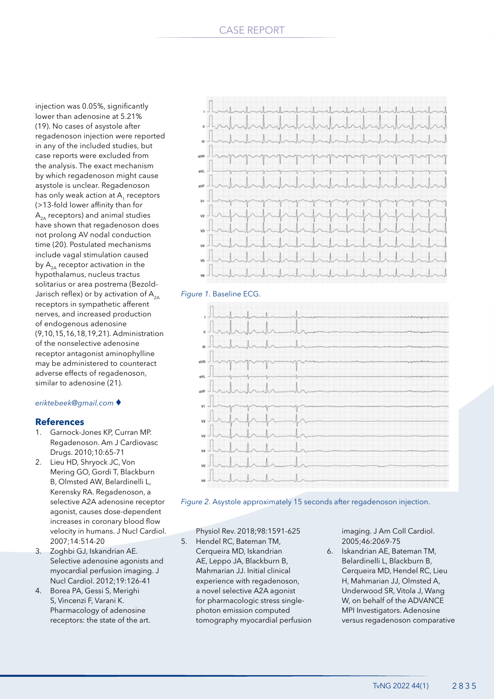injection was 0.05%, significantly lower than adenosine at 5.21% (19). No cases of asystole after regadenoson injection were reported in any of the included studies, but case reports were excluded from the analysis. The exact mechanism by which regadenoson might cause asystole is unclear. Regadenoson has only weak action at A<sub>1</sub> receptors (>13-fold lower affinity than for  $A_{2A}$  receptors) and animal studies have shown that regadenoson does not prolong AV nodal conduction time (20). Postulated mechanisms include vagal stimulation caused by  $A_{2A}$  receptor activation in the hypothalamus, nucleus tractus solitarius or area postrema (Bezold-Jarisch reflex) or by activation of  $A_{2A}$ receptors in sympathetic afferent nerves, and increased production of endogenous adenosine (9,10,15,16,18,19,21). Administration of the nonselective adenosine receptor antagonist aminophylline may be administered to counteract adverse effects of regadenoson, similar to adenosine (21).

#### *eriktebeek@gmail.com* ♦

## **References**

- 1. Garnock-Jones KP, Curran MP. Regadenoson. Am J Cardiovasc Drugs. 2010;10:65-71
- 2. Lieu HD, Shryock JC, Von Mering GO, Gordi T, Blackburn B, Olmsted AW, Belardinelli L, Kerensky RA. Regadenoson, a selective A2A adenosine receptor agonist, causes dose-dependent increases in coronary blood flow velocity in humans. J Nucl Cardiol. 2007;14:514-20
- 3. Zoghbi GJ, Iskandrian AE. Selective adenosine agonists and myocardial perfusion imaging. J Nucl Cardiol. 2012;19:126-41
- 4. Borea PA, Gessi S, Merighi S, Vincenzi F, Varani K. Pharmacology of adenosine receptors: the state of the art.



### *Figure 1.* Baseline ECG.



*Figure 2.* Asystole approximately 15 seconds after regadenoson injection.

Physiol Rev. 2018;98:1591-625

5. Hendel RC, Bateman TM, Cerqueira MD, Iskandrian AE, Leppo JA, Blackburn B, Mahmarian JJ. Initial clinical experience with regadenoson, a novel selective A2A agonist for pharmacologic stress singlephoton emission computed tomography myocardial perfusion

imaging. J Am Coll Cardiol. 2005;46:2069-75

6. Iskandrian AE, Bateman TM, Belardinelli L, Blackburn B, Cerqueira MD, Hendel RC, Lieu H, Mahmarian JJ, Olmsted A, Underwood SR, Vitola J, Wang W, on behalf of the ADVANCE MPI Investigators. Adenosine versus regadenoson comparative